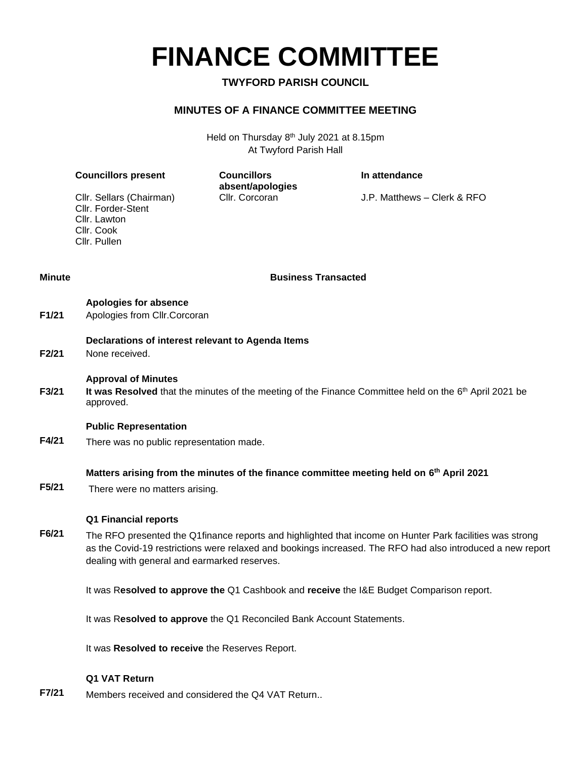**FINANCE COMMITTEE**

### **TWYFORD PARISH COUNCIL**

### **MINUTES OF A FINANCE COMMITTEE MEETING**

Held on Thursday 8<sup>th</sup> July 2021 at 8.15pm At Twyford Parish Hall

**In attendance**

|               | Cllr. Sellars (Chairman)<br>Cllr. Forder-Stent<br>Cllr. Lawton<br>Cllr. Cook<br>Cllr. Pullen | absent/apologies<br>Cllr. Corcoran | J.P. Matthews - Clerk & RFO                                                                                        |  |  |
|---------------|----------------------------------------------------------------------------------------------|------------------------------------|--------------------------------------------------------------------------------------------------------------------|--|--|
| <b>Minute</b> | <b>Business Transacted</b>                                                                   |                                    |                                                                                                                    |  |  |
| F1/21         | Apologies for absence<br>Apologies from Cllr.Corcoran                                        |                                    |                                                                                                                    |  |  |
| F2/21         | Declarations of interest relevant to Agenda Items<br>None received.                          |                                    |                                                                                                                    |  |  |
| F3/21         | <b>Approval of Minutes</b><br>approved.                                                      |                                    | It was Resolved that the minutes of the meeting of the Finance Committee held on the 6 <sup>th</sup> April 2021 be |  |  |
| F4/21         | <b>Public Representation</b><br>There was no public representation made.                     |                                    |                                                                                                                    |  |  |

#### **Matters arising from the minutes of the finance committee meeting held on 6 th April 2021**

**F5/21** There were no matters arising.

**Councillors present Councillors** 

#### **Q1 Financial reports**

**F6/21** The RFO presented the Q1finance reports and highlighted that income on Hunter Park facilities was strong as the Covid-19 restrictions were relaxed and bookings increased. The RFO had also introduced a new report dealing with general and earmarked reserves.

It was R**esolved to approve the** Q1 Cashbook and **receive** the I&E Budget Comparison report.

It was R**esolved to approve** the Q1 Reconciled Bank Account Statements.

It was **Resolved to receive** the Reserves Report.

#### **Q1 VAT Return**

**F7/21** Members received and considered the Q4 VAT Return..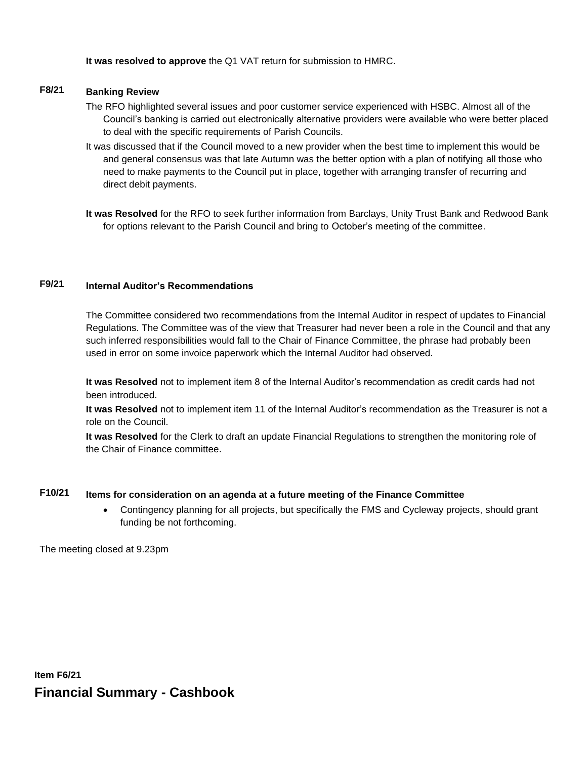**It was resolved to approve** the Q1 VAT return for submission to HMRC.

## **F8/21 Banking Review**

- The RFO highlighted several issues and poor customer service experienced with HSBC. Almost all of the Council's banking is carried out electronically alternative providers were available who were better placed to deal with the specific requirements of Parish Councils.
- It was discussed that if the Council moved to a new provider when the best time to implement this would be and general consensus was that late Autumn was the better option with a plan of notifying all those who need to make payments to the Council put in place, together with arranging transfer of recurring and direct debit payments.
- **It was Resolved** for the RFO to seek further information from Barclays, Unity Trust Bank and Redwood Bank for options relevant to the Parish Council and bring to October's meeting of the committee.

## **F9/21 Internal Auditor's Recommendations**

The Committee considered two recommendations from the Internal Auditor in respect of updates to Financial Regulations. The Committee was of the view that Treasurer had never been a role in the Council and that any such inferred responsibilities would fall to the Chair of Finance Committee, the phrase had probably been used in error on some invoice paperwork which the Internal Auditor had observed.

**It was Resolved** not to implement item 8 of the Internal Auditor's recommendation as credit cards had not been introduced.

**It was Resolved** not to implement item 11 of the Internal Auditor's recommendation as the Treasurer is not a role on the Council.

**It was Resolved** for the Clerk to draft an update Financial Regulations to strengthen the monitoring role of the Chair of Finance committee.

### **F10/21 Items for consideration on an agenda at a future meeting of the Finance Committee**

• Contingency planning for all projects, but specifically the FMS and Cycleway projects, should grant funding be not forthcoming.

The meeting closed at 9.23pm

**Item F6/21 Financial Summary - Cashbook**